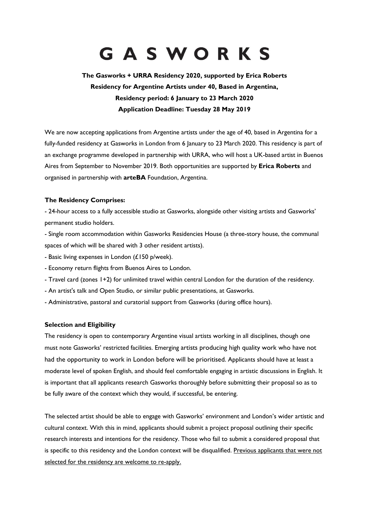# GASWORKS

# **The Gasworks + URRA Residency 2020, supported by Erica Roberts Residency for Argentine Artists under 40, Based in Argentina, Residency period: 6 January to 23 March 2020 Application Deadline: Tuesday 28 May 2019**

We are now accepting applications from Argentine artists under the age of 40, based in Argentina for a fully-funded residency at Gasworks in London from 6 January to 23 March 2020. This residency is part of an exchange programme developed in partnership with URRA, who will host a UK-based artist in Buenos Aires from September to November 2019. Both opportunities are supported by **Erica Roberts** and organised in partnership with **arteBA** Foundation, Argentina.

# **The Residency Comprises:**

- 24-hour access to a fully accessible studio at Gasworks, alongside other visiting artists and Gasworks' permanent studio holders.

- Single room accommodation within Gasworks Residencies House (a three-story house, the communal spaces of which will be shared with 3 other resident artists).

- Basic living expenses in London (£150 p/week).
- Economy return flights from Buenos Aires to London.
- Travel card (zones 1+2) for unlimited travel within central London for the duration of the residency.
- An artist's talk and Open Studio, or similar public presentations, at Gasworks.
- Administrative, pastoral and curatorial support from Gasworks (during office hours).

### **Selection and Eligibility**

The residency is open to contemporary Argentine visual artists working in all disciplines, though one must note Gasworks' restricted facilities. Emerging artists producing high quality work who have not had the opportunity to work in London before will be prioritised. Applicants should have at least a moderate level of spoken English, and should feel comfortable engaging in artistic discussions in English. It is important that all applicants research Gasworks thoroughly before submitting their proposal so as to be fully aware of the context which they would, if successful, be entering.

The selected artist should be able to engage with Gasworks' environment and London's wider artistic and cultural context. With this in mind, applicants should submit a project proposal outlining their specific research interests and intentions for the residency. Those who fail to submit a considered proposal that is specific to this residency and the London context will be disqualified. Previous applicants that were not selected for the residency are welcome to re-apply.